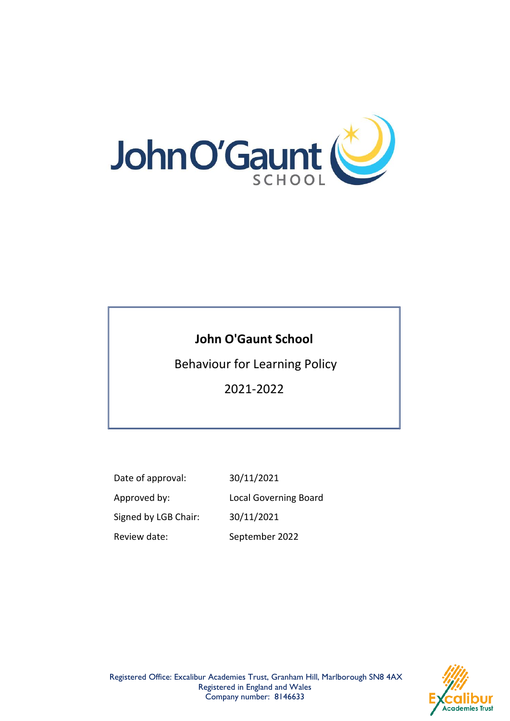

# **John O'Gaunt School**

Behaviour for Learning Policy

2021-2022

Date of approval: 30/11/2021 Approved by: Local Governing Board Signed by LGB Chair: 30/11/2021 Review date: September 2022

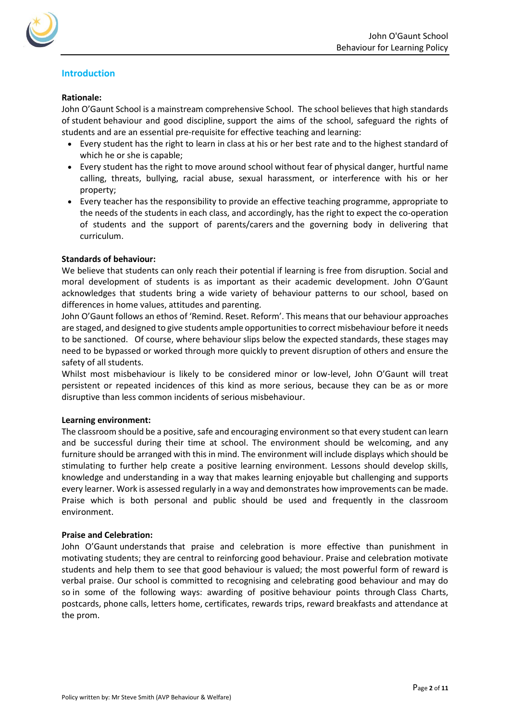

# **Introduction**

# **Rationale:**

John O'Gaunt School is a mainstream comprehensive School.  The school believes that high standards of student behaviour and good discipline, support the aims of the school, safeguard the rights of students and are an essential pre-requisite for effective teaching and learning:

- Every student has the right to learn in class at his or her best rate and to the highest standard of which he or she is capable;
- Every student has the right to move around school without fear of physical danger, hurtful name calling, threats, bullying, racial abuse, sexual harassment, or interference with his or her property;
- Every teacher has the responsibility to provide an effective teaching programme, appropriate to the needs of the students in each class, and accordingly, has the right to expect the co-operation of students and the support of parents/carers and the governing body in delivering that curriculum.

## **Standards of behaviour:**

We believe that students can only reach their potential if learning is free from disruption. Social and moral development of students is as important as their academic development. John O'Gaunt acknowledges that students bring a wide variety of behaviour patterns to our school, based on differences in home values, attitudes and parenting.

John O'Gaunt follows an ethos of 'Remind. Reset. Reform'. This means that our behaviour approaches are staged, and designed to give students ample opportunities to correct misbehaviour before it needs to be sanctioned. Of course, where behaviour slips below the expected standards, these stages may need to be bypassed or worked through more quickly to prevent disruption of others and ensure the safety of all students.

Whilst most misbehaviour is likely to be considered minor or low-level, John O'Gaunt will treat persistent or repeated incidences of this kind as more serious, because they can be as or more disruptive than less common incidents of serious misbehaviour.

# **Learning environment:**

The classroom should be a positive, safe and encouraging environment so that every student can learn and be successful during their time at school. The environment should be welcoming, and any furniture should be arranged with this in mind. The environment will include displays which should be stimulating to further help create a positive learning environment. Lessons should develop skills, knowledge and understanding in a way that makes learning enjoyable but challenging and supports every learner. Work is assessed regularly in a way and demonstrates how improvements can be made. Praise which is both personal and public should be used and frequently in the classroom environment.

#### **Praise and Celebration:**

John O'Gaunt understands that praise and celebration is more effective than punishment in motivating students; they are central to reinforcing good behaviour. Praise and celebration motivate students and help them to see that good behaviour is valued; the most powerful form of reward is verbal praise. Our school is committed to recognising and celebrating good behaviour and may do so in some of the following ways: awarding of positive behaviour points through Class Charts, postcards, phone calls, letters home, certificates, rewards trips, reward breakfasts and attendance at the prom.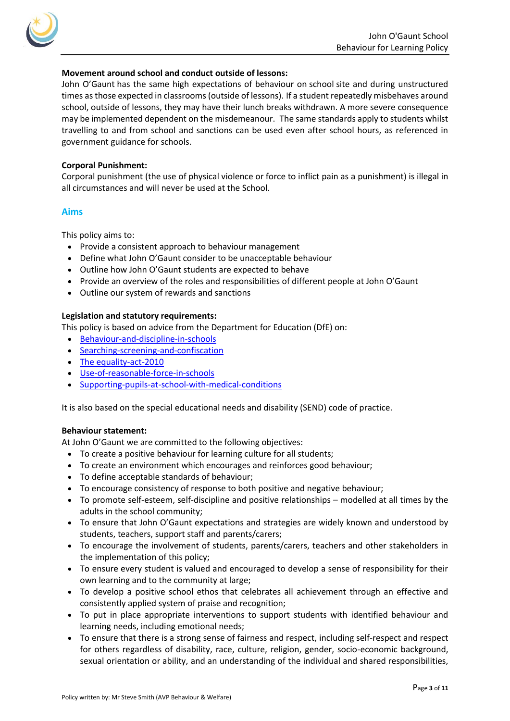

# **Movement around school and conduct outside of lessons:**

John O'Gaunt has the same high expectations of behaviour on school site and during unstructured times as those expected in classrooms (outside of lessons). If a student repeatedly misbehaves around school, outside of lessons, they may have their lunch breaks withdrawn. A more severe consequence may be implemented dependent on the misdemeanour. The same standards apply to students whilst travelling to and from school and sanctions can be used even after school hours, as referenced in government guidance for schools.

# **Corporal Punishment:**

Corporal punishment (the use of physical violence or force to inflict pain as a punishment) is illegal in all circumstances and will never be used at the School.

# **Aims**

This policy aims to:

- Provide a consistent approach to behaviour management
- Define what John O'Gaunt consider to be unacceptable behaviour
- Outline how John O'Gaunt students are expected to behave
- Provide an overview of the roles and responsibilities of different people at John O'Gaunt
- Outline our system of rewards and sanctions

# **Legislation and statutory requirements:**

This policy is based on advice from the Department for Education (DfE) on:

- [Behaviour-and-discipline-in-schools](https://www.gov.uk/government/publications/behaviour-and-discipline-in-schools)
- [Searching-screening-and-confiscation](https://www.gov.uk/government/publications/searching-screening-and-confiscation)
- The [equality-act-2010](https://www.gov.uk/guidance/equality-act-2010-guidance)
- [Use-of-reasonable-force-in-schools](https://www.gov.uk/government/publications/use-of-reasonable-force-in-schools)
- [Supporting-pupils-at-school-with-medical-conditions](https://www.gov.uk/government/publications/supporting-pupils-at-school-with-medical-conditions--3)

It is also based on the special educational needs and disability (SEND) code of practice.

# **Behaviour statement:**

At John O'Gaunt we are committed to the following objectives:

- To create a positive behaviour for learning culture for all students;
- To create an environment which encourages and reinforces good behaviour;
- To define acceptable standards of behaviour;
- To encourage consistency of response to both positive and negative behaviour;
- To promote self-esteem, self-discipline and positive relationships modelled at all times by the adults in the school community;
- To ensure that John O'Gaunt expectations and strategies are widely known and understood by students, teachers, support staff and parents/carers;
- To encourage the involvement of students, parents/carers, teachers and other stakeholders in the implementation of this policy;
- To ensure every student is valued and encouraged to develop a sense of responsibility for their own learning and to the community at large;
- To develop a positive school ethos that celebrates all achievement through an effective and consistently applied system of praise and recognition;
- To put in place appropriate interventions to support students with identified behaviour and learning needs, including emotional needs;
- To ensure that there is a strong sense of fairness and respect, including self-respect and respect for others regardless of disability, race, culture, religion, gender, socio-economic background, sexual orientation or ability, and an understanding of the individual and shared responsibilities,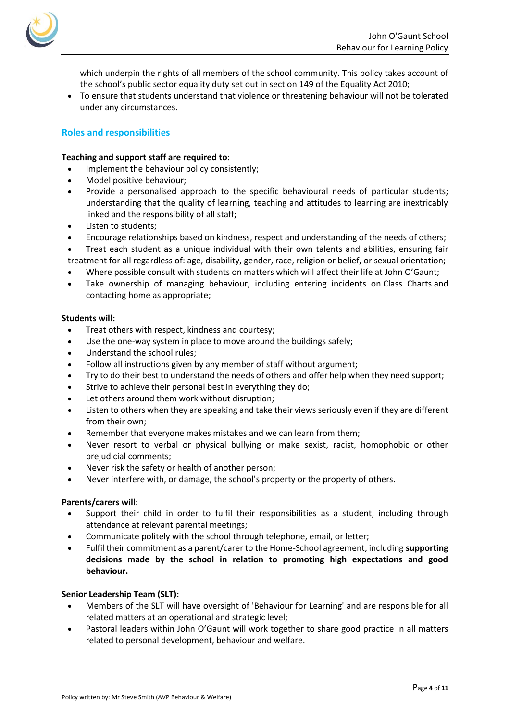

which underpin the rights of all members of the school community. This policy takes account of the school's public sector equality duty set out in section 149 of the Equality Act 2010;

• To ensure that students understand that violence or threatening behaviour will not be tolerated under any circumstances.

# **Roles and responsibilities**

## **Teaching and support staff are required to:**

- Implement the behaviour policy consistently;
- Model positive behaviour;
- Provide a personalised approach to the specific behavioural needs of particular students; understanding that the quality of learning, teaching and attitudes to learning are inextricably linked and the responsibility of all staff;
- Listen to students;
- Encourage relationships based on kindness, respect and understanding of the needs of others;
- Treat each student as a unique individual with their own talents and abilities, ensuring fair treatment for all regardless of: age, disability, gender, race, religion or belief, or sexual orientation;
- Where possible consult with students on matters which will affect their life at John O'Gaunt;
- Take ownership of managing behaviour, including entering incidents on Class Charts and contacting home as appropriate;

## **Students will:**

- Treat others with respect, kindness and courtesy;
- Use the one-way system in place to move around the buildings safely;
- Understand the school rules;
- Follow all instructions given by any member of staff without argument;
- Try to do their best to understand the needs of others and offer help when they need support;
- Strive to achieve their personal best in everything they do;
- Let others around them work without disruption;
- Listen to others when they are speaking and take their views seriously even if they are different from their own;
- Remember that everyone makes mistakes and we can learn from them;
- Never resort to verbal or physical bullying or make sexist, racist, homophobic or other prejudicial comments;
- Never risk the safety or health of another person;
- Never interfere with, or damage, the school's property or the property of others.

# **Parents/carers will:**

- Support their child in order to fulfil their responsibilities as a student, including through attendance at relevant parental meetings;
- Communicate politely with the school through telephone, email, or letter;
- Fulfil their commitment as a parent/carer to the Home-School agreement, including **supporting decisions made by the school in relation to promoting high expectations and good behaviour.**

# **Senior Leadership Team (SLT):**

- Members of the SLT will have oversight of 'Behaviour for Learning' and are responsible for all related matters at an operational and strategic level;
- Pastoral leaders within John O'Gaunt will work together to share good practice in all matters related to personal development, behaviour and welfare.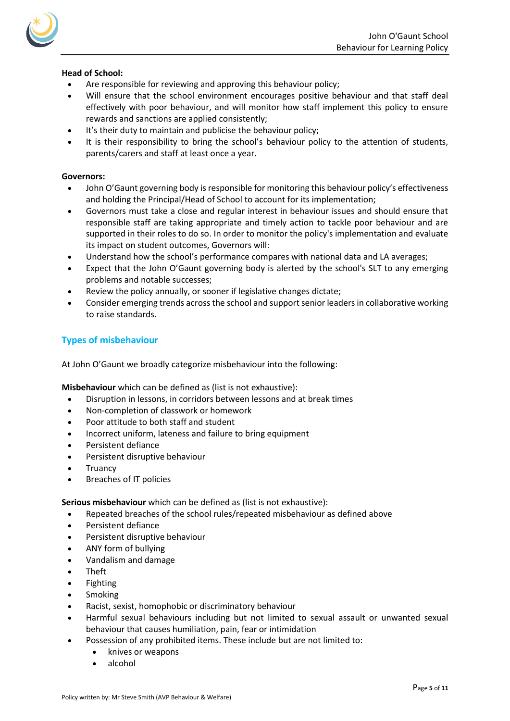

# **Head of School:**

- Are responsible for reviewing and approving this behaviour policy;
- Will ensure that the school environment encourages positive behaviour and that staff deal effectively with poor behaviour, and will monitor how staff implement this policy to ensure rewards and sanctions are applied consistently;
- It's their duty to maintain and publicise the behaviour policy;
- It is their responsibility to bring the school's behaviour policy to the attention of students, parents/carers and staff at least once a year.

# **Governors:**

- John O'Gaunt governing body is responsible for monitoring this behaviour policy's effectiveness and holding the Principal/Head of School to account for its implementation;
- Governors must take a close and regular interest in behaviour issues and should ensure that responsible staff are taking appropriate and timely action to tackle poor behaviour and are supported in their roles to do so. In order to monitor the policy's implementation and evaluate its impact on student outcomes, Governors will:
- Understand how the school's performance compares with national data and LA averages;
- Expect that the John O'Gaunt governing body is alerted by the school's SLT to any emerging problems and notable successes;
- Review the policy annually, or sooner if legislative changes dictate;
- Consider emerging trends across the school and support senior leaders in collaborative working to raise standards.

# **Types of misbehaviour**

At John O'Gaunt we broadly categorize misbehaviour into the following:

**Misbehaviour** which can be defined as (list is not exhaustive):

- Disruption in lessons, in corridors between lessons and at break times
- Non-completion of classwork or homework
- Poor attitude to both staff and student
- Incorrect uniform, lateness and failure to bring equipment
- Persistent defiance
- Persistent disruptive behaviour
- **Truancy**
- Breaches of IT policies

**Serious misbehaviour** which can be defined as (list is not exhaustive):

- Repeated breaches of the school rules/repeated misbehaviour as defined above
- Persistent defiance
- Persistent disruptive behaviour
- ANY form of bullying
- Vandalism and damage
- Theft
- Fighting
- **Smoking**
- Racist, sexist, homophobic or discriminatory behaviour
- Harmful sexual behaviours including but not limited to sexual assault or unwanted sexual behaviour that causes humiliation, pain, fear or intimidation
- Possession of any prohibited items. These include but are not limited to:
	- knives or weapons
	- alcohol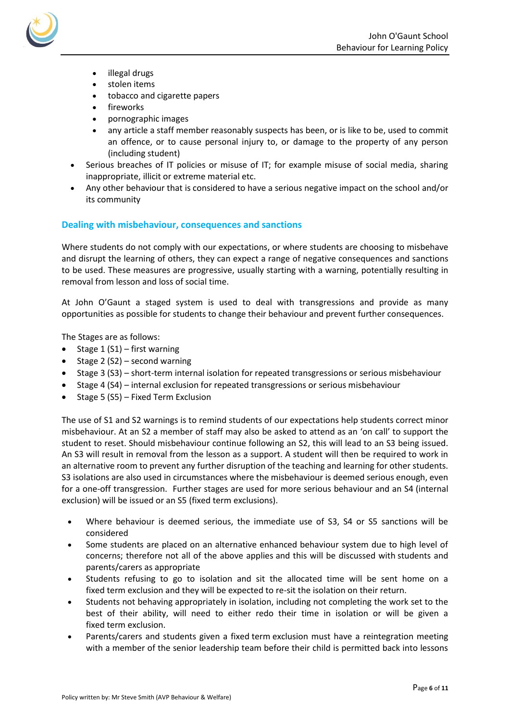

- illegal drugs
- stolen items
- tobacco and cigarette papers
- **fireworks**
- pornographic images
- any article a staff member reasonably suspects has been, or is like to be, used to commit an offence, or to cause personal injury to, or damage to the property of any person (including student)
- Serious breaches of IT policies or misuse of IT; for example misuse of social media, sharing inappropriate, illicit or extreme material etc.
- Any other behaviour that is considered to have a serious negative impact on the school and/or its community

# **Dealing with misbehaviour, consequences and sanctions**

Where students do not comply with our expectations, or where students are choosing to misbehave and disrupt the learning of others, they can expect a range of negative consequences and sanctions to be used. These measures are progressive, usually starting with a warning, potentially resulting in removal from lesson and loss of social time.

At John O'Gaunt a staged system is used to deal with transgressions and provide as many opportunities as possible for students to change their behaviour and prevent further consequences.

The Stages are as follows:

- Stage  $1 (S1)$  first warning
- Stage 2 (S2) second warning
- Stage 3 (S3) short-term internal isolation for repeated transgressions or serious misbehaviour
- Stage 4 (S4) internal exclusion for repeated transgressions or serious misbehaviour
- Stage 5 (S5) Fixed Term Exclusion

The use of S1 and S2 warnings is to remind students of our expectations help students correct minor misbehaviour. At an S2 a member of staff may also be asked to attend as an 'on call' to support the student to reset. Should misbehaviour continue following an S2, this will lead to an S3 being issued. An S3 will result in removal from the lesson as a support. A student will then be required to work in an alternative room to prevent any further disruption of the teaching and learning for other students. S3 isolations are also used in circumstances where the misbehaviour is deemed serious enough, even for a one-off transgression. Further stages are used for more serious behaviour and an S4 (internal exclusion) will be issued or an S5 (fixed term exclusions).

- Where behaviour is deemed serious, the immediate use of S3, S4 or S5 sanctions will be considered
- Some students are placed on an alternative enhanced behaviour system due to high level of concerns; therefore not all of the above applies and this will be discussed with students and parents/carers as appropriate
- Students refusing to go to isolation and sit the allocated time will be sent home on a fixed term exclusion and they will be expected to re-sit the isolation on their return.
- Students not behaving appropriately in isolation, including not completing the work set to the best of their ability, will need to either redo their time in isolation or will be given a fixed term exclusion.
- Parents/carers and students given a fixed term exclusion must have a reintegration meeting with a member of the senior leadership team before their child is permitted back into lessons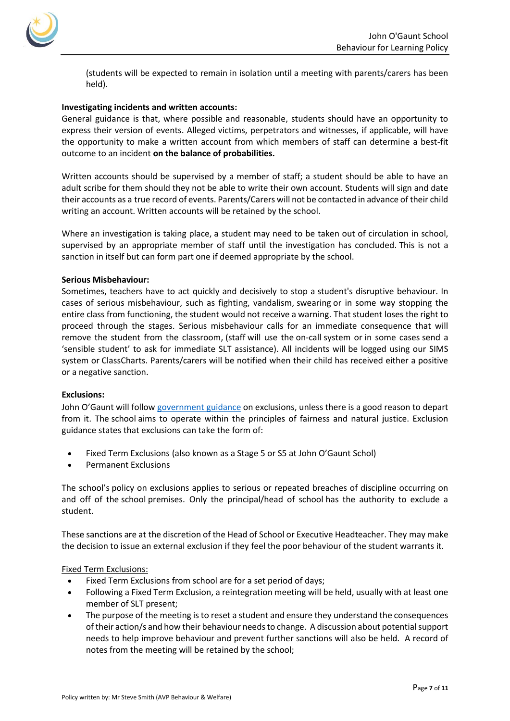

(students will be expected to remain in isolation until a meeting with parents/carers has been held).

## **Investigating incidents and written accounts:**

General guidance is that, where possible and reasonable, students should have an opportunity to express their version of events. Alleged victims, perpetrators and witnesses, if applicable, will have the opportunity to make a written account from which members of staff can determine a best-fit outcome to an incident **on the balance of probabilities.**

Written accounts should be supervised by a member of staff; a student should be able to have an adult scribe for them should they not be able to write their own account. Students will sign and date their accounts as a true record of events. Parents/Carers will not be contacted in advance of their child writing an account. Written accounts will be retained by the school.

Where an investigation is taking place, a student may need to be taken out of circulation in school, supervised by an appropriate member of staff until the investigation has concluded. This is not a sanction in itself but can form part one if deemed appropriate by the school.

## **Serious Misbehaviour:**

Sometimes, teachers have to act quickly and decisively to stop a student's disruptive behaviour. In cases of serious misbehaviour, such as fighting, vandalism, swearing or in some way stopping the entire class from functioning, the student would not receive a warning. That student loses the right to proceed through the stages. Serious misbehaviour calls for an immediate consequence that will remove the student from the classroom, (staff will use the on-call system or in some cases send a 'sensible student' to ask for immediate SLT assistance). All incidents will be logged using our SIMS system or ClassCharts. Parents/carers will be notified when their child has received either a positive or a negative sanction.

#### **Exclusions:**

John O'Gaunt will follo[w government guidance](https://assets.publishing.service.gov.uk/government/uploads/system/uploads/attachment_data/file/921405/20170831_Exclusion_Stat_guidance_Web_version.pdf) on exclusions, unless there is a good reason to depart from it. The school aims to operate within the principles of fairness and natural justice. Exclusion guidance states that exclusions can take the form of:

- Fixed Term Exclusions (also known as a Stage 5 or S5 at John O'Gaunt Schol)
- Permanent Exclusions

The school's policy on exclusions applies to serious or repeated breaches of discipline occurring on and off of the school premises. Only the principal/head of school has the authority to exclude a student.

These sanctions are at the discretion of the Head of School or Executive Headteacher. They may make the decision to issue an external exclusion if they feel the poor behaviour of the student warrants it.

Fixed Term Exclusions:

- Fixed Term Exclusions from school are for a set period of days;
- Following a Fixed Term Exclusion, a reintegration meeting will be held, usually with at least one member of SLT present;
- The purpose of the meeting is to reset a student and ensure they understand the consequences of their action/s and how their behaviour needs to change. A discussion about potential support needs to help improve behaviour and prevent further sanctions will also be held. A record of notes from the meeting will be retained by the school;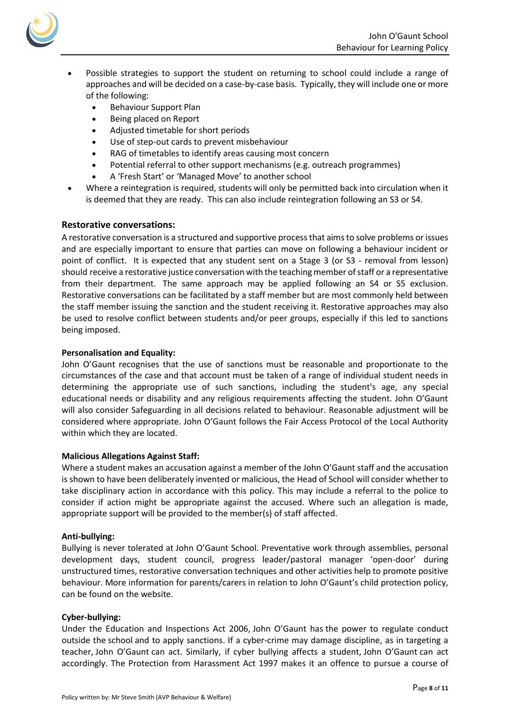

- Possible strategies to support the student on returning to school could include a range of approaches and will be decided on a case-by-case basis. Typically, they will include one or more of the following:
	- Behaviour Support Plan
	- Being placed on Report
	- Adjusted timetable for short periods
	- Use of step-out cards to prevent misbehaviour
	- RAG of timetables to identify areas causing most concern
	- Potential referral to other support mechanisms (e.g. outreach programmes)
	- A 'Fresh Start' or 'Managed Move' to another school
- Where a reintegration is required, students will only be permitted back into circulation when it is deemed that they are ready. This can also include reintegration following an S3 or S4.

# **Restorative conversations:**

A restorative conversation is a structured and supportive process that aimsto solve problems or issues and are especially important to ensure that parties can move on following a behaviour incident or point of conflict. It is expected that any student sent on a Stage 3 (or S3 - removal from lesson) should receive a restorative justice conversation with the teaching member of staff or a representative from their department. The same approach may be applied following an S4 or S5 exclusion. Restorative conversations can be facilitated by a staff member but are most commonly held between the staff member issuing the sanction and the student receiving it. Restorative approaches may also be used to resolve conflict between students and/or peer groups, especially if this led to sanctions being imposed.

# **Personalisation and Equality:**

John O'Gaunt recognises that the use of sanctions must be reasonable and proportionate to the circumstances of the case and that account must be taken of a range of individual student needs in determining the appropriate use of such sanctions, including the student's age, any special educational needs or disability and any religious requirements affecting the student. John O'Gaunt will also consider Safeguarding in all decisions related to behaviour. Reasonable adjustment will be considered where appropriate. John O'Gaunt follows the Fair Access Protocol of the Local Authority within which they are located.

# **Malicious Allegations Against Staff:**

Where a student makes an accusation against a member of the John O'Gaunt staff and the accusation is shown to have been deliberately invented or malicious, the Head of School will consider whether to take disciplinary action in accordance with this policy. This may include a referral to the police to consider if action might be appropriate against the accused. Where such an allegation is made, appropriate support will be provided to the member(s) of staff affected.

# **Anti-bullying:**

Bullying is never tolerated at John O'Gaunt School. Preventative work through assemblies, personal development days, student council, progress leader/pastoral manager 'open-door' during unstructured times, restorative conversation techniques and other activities help to promote positive behaviour. More information for parents/carers in relation to John O'Gaunt's child protection policy, can be found on the website.

# **Cyber-bullying:**

Under the Education and Inspections Act 2006, John O'Gaunt has the power to regulate conduct outside the school and to apply sanctions. If a cyber-crime may damage discipline, as in targeting a teacher, John O'Gaunt can act. Similarly, if cyber bullying affects a student, John O'Gaunt can act accordingly. The Protection from Harassment Act 1997 makes it an offence to pursue a course of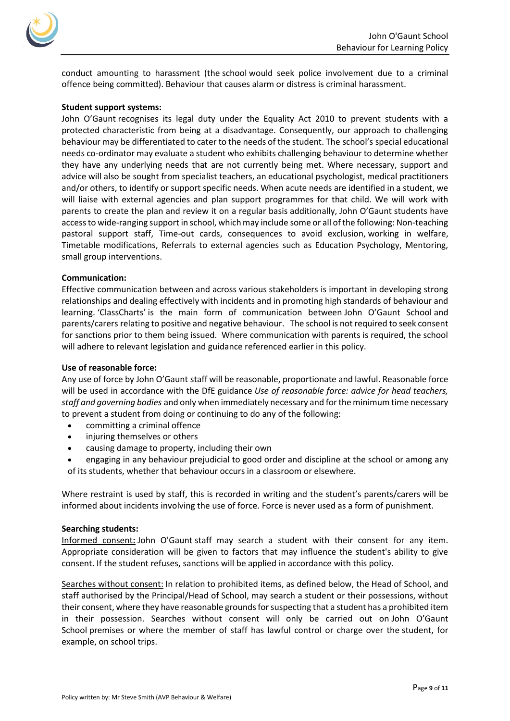

conduct amounting to harassment (the school would seek police involvement due to a criminal offence being committed). Behaviour that causes alarm or distress is criminal harassment.

#### **Student support systems:**

John O'Gaunt recognises its legal duty under the Equality Act 2010 to prevent students with a protected characteristic from being at a disadvantage. Consequently, our approach to challenging behaviour may be differentiated to cater to the needs of the student. The school's special educational needs co-ordinator may evaluate a student who exhibits challenging behaviour to determine whether they have any underlying needs that are not currently being met. Where necessary, support and advice will also be sought from specialist teachers, an educational psychologist, medical practitioners and/or others, to identify or support specific needs. When acute needs are identified in a student, we will liaise with external agencies and plan support programmes for that child. We will work with parents to create the plan and review it on a regular basis additionally, John O'Gaunt students have access to wide-ranging support in school, which may include some or all of the following: Non-teaching pastoral support staff, Time-out cards, consequences to avoid exclusion, working in welfare, Timetable modifications, Referrals to external agencies such as Education Psychology, Mentoring, small group interventions.

## **Communication:**

Effective communication between and across various stakeholders is important in developing strong relationships and dealing effectively with incidents and in promoting high standards of behaviour and learning. 'ClassCharts' is the main form of communication between John O'Gaunt School and parents/carers relating to positive and negative behaviour. The school is not required to seek consent for sanctions prior to them being issued. Where communication with parents is required, the school will adhere to relevant legislation and guidance referenced earlier in this policy.

#### **Use of reasonable force:**

Any use of force by John O'Gaunt staff will be reasonable, proportionate and lawful. Reasonable force will be used in accordance with the DfE guidance *Use of reasonable force: advice for head teachers, staff and governing bodies* and only when immediately necessary and for the minimum time necessary to prevent a student from doing or continuing to do any of the following:

- committing a criminal offence
- injuring themselves or others
- causing damage to property, including their own

• engaging in any behaviour prejudicial to good order and discipline at the school or among any of its students, whether that behaviour occurs in a classroom or elsewhere.

Where restraint is used by staff, this is recorded in writing and the student's parents/carers will be informed about incidents involving the use of force. Force is never used as a form of punishment.

#### **Searching students:**

Informed consent**:** John O'Gaunt staff may search a student with their consent for any item. Appropriate consideration will be given to factors that may influence the student's ability to give consent. If the student refuses, sanctions will be applied in accordance with this policy.

Searches without consent: In relation to prohibited items, as defined below, the Head of School, and staff authorised by the Principal/Head of School, may search a student or their possessions, without their consent, where they have reasonable grounds for suspecting that a student has a prohibited item in their possession. Searches without consent will only be carried out on John O'Gaunt School premises or where the member of staff has lawful control or charge over the student, for example, on school trips.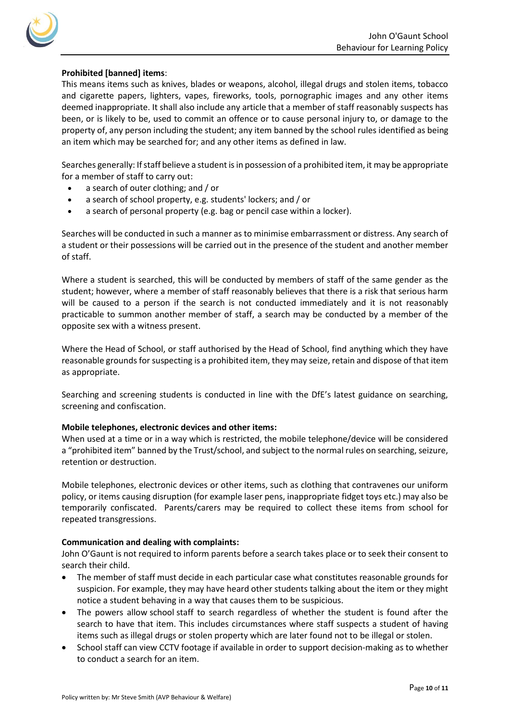

# **Prohibited [banned] items**:

This means items such as knives, blades or weapons, alcohol, illegal drugs and stolen items, tobacco and cigarette papers, lighters, vapes, fireworks, tools, pornographic images and any other items deemed inappropriate. It shall also include any article that a member of staff reasonably suspects has been, or is likely to be, used to commit an offence or to cause personal injury to, or damage to the property of, any person including the student; any item banned by the school rules identified as being an item which may be searched for; and any other items as defined in law.

Searches generally: If staff believe a student is in possession of a prohibited item, it may be appropriate for a member of staff to carry out:

- a search of outer clothing; and / or
- a search of school property, e.g. students' lockers; and / or
- a search of personal property (e.g. bag or pencil case within a locker).

Searches will be conducted in such a manner as to minimise embarrassment or distress. Any search of a student or their possessions will be carried out in the presence of the student and another member of staff.

Where a student is searched, this will be conducted by members of staff of the same gender as the student; however, where a member of staff reasonably believes that there is a risk that serious harm will be caused to a person if the search is not conducted immediately and it is not reasonably practicable to summon another member of staff, a search may be conducted by a member of the opposite sex with a witness present.

Where the Head of School, or staff authorised by the Head of School, find anything which they have reasonable grounds for suspecting is a prohibited item, they may seize, retain and dispose of that item as appropriate.

Searching and screening students is conducted in line with the DfE's latest guidance on searching, screening and confiscation.

# **Mobile telephones, electronic devices and other items:**

When used at a time or in a way which is restricted, the mobile telephone/device will be considered a "prohibited item" banned by the Trust/school, and subject to the normal rules on searching, seizure, retention or destruction.

Mobile telephones, electronic devices or other items, such as clothing that contravenes our uniform policy, or items causing disruption (for example laser pens, inappropriate fidget toys etc.) may also be temporarily confiscated. Parents/carers may be required to collect these items from school for repeated transgressions.

# **Communication and dealing with complaints:**

John O'Gaunt is not required to inform parents before a search takes place or to seek their consent to search their child.

- The member of staff must decide in each particular case what constitutes reasonable grounds for suspicion. For example, they may have heard other students talking about the item or they might notice a student behaving in a way that causes them to be suspicious.
- The powers allow school staff to search regardless of whether the student is found after the search to have that item. This includes circumstances where staff suspects a student of having items such as illegal drugs or stolen property which are later found not to be illegal or stolen.
- School staff can view CCTV footage if available in order to support decision-making as to whether to conduct a search for an item.